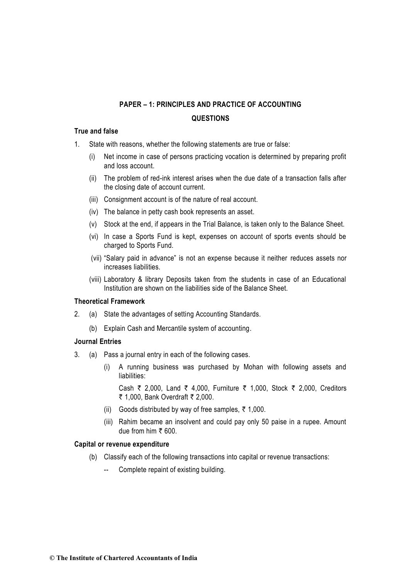## **True and false**

- 1. State with reasons, whether the following statements are true or false:
	- (i) Net income in case of persons practicing vocation is determined by preparing profit and loss account.
	- (ii) The problem of red-ink interest arises when the due date of a transaction falls after the closing date of account current.
	- (iii) Consignment account is of the nature of real account.
	- (iv) The balance in petty cash book represents an asset.
	- (v) Stock at the end, if appears in the Trial Balance, is taken only to the Balance Sheet.
	- (vi) In case a Sports Fund is kept, expenses on account of sports events should be charged to Sports Fund.
	- (vii) "Salary paid in advance" is not an expense because it neither reduces assets nor increases liabilities.
	- (viii) Laboratory & library Deposits taken from the students in case of an Educational Institution are shown on the liabilities side of the Balance Sheet.

## **Theoretical Framework**

- 2. (a) State the advantages of setting Accounting Standards.
	- (b) Explain Cash and Mercantile system of accounting.

## **Journal Entries**

- 3. (a) Pass a journal entry in each of the following cases.
	- (i) A running business was purchased by Mohan with following assets and liabilities:

Cash ₹ 2,000, Land ₹ 4,000, Furniture ₹ 1,000, Stock ₹ 2,000, Creditors ₹ 1,000, Bank Overdraft  $\bar{\tau}$  2,000.

- (ii) Goods distributed by way of free samples,  $\bar{\tau}$  1,000.
- (iii) Rahim became an insolvent and could pay only 50 paise in a rupee. Amount due from him  $\bar{\tau}$  600.

### **Capital or revenue expenditure**

- (b) Classify each of the following transactions into capital or revenue transactions:
	- Complete repaint of existing building.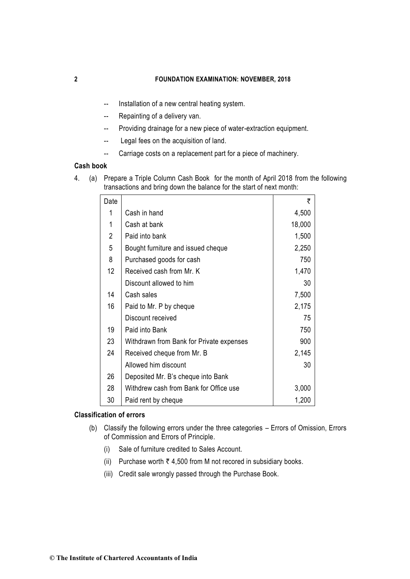- -- Installation of a new central heating system.
- -- Repainting of a delivery van.
- -- Providing drainage for a new piece of water-extraction equipment.
- -- Legal fees on the acquisition of land.
- -- Carriage costs on a replacement part for a piece of machinery.

## **Cash book**

4. (a) Prepare a Triple Column Cash Book for the month of April 2018 from the following transactions and bring down the balance for the start of next month:

| Date           |                                          | ₹      |
|----------------|------------------------------------------|--------|
| 1              | Cash in hand                             | 4,500  |
| 1              | Cash at bank                             | 18,000 |
| $\overline{2}$ | Paid into bank                           | 1,500  |
| 5              | Bought furniture and issued cheque       | 2,250  |
| 8              | Purchased goods for cash                 | 750    |
| 12             | Received cash from Mr. K                 | 1,470  |
|                | Discount allowed to him                  | 30     |
| 14             | Cash sales                               | 7,500  |
| 16             | Paid to Mr. P by cheque                  | 2,175  |
|                | Discount received                        | 75     |
| 19             | Paid into Bank                           | 750    |
| 23             | Withdrawn from Bank for Private expenses | 900    |
| 24             | Received cheque from Mr. B               | 2,145  |
|                | Allowed him discount                     | 30     |
| 26             | Deposited Mr. B's cheque into Bank       |        |
| 28             | Withdrew cash from Bank for Office use   | 3,000  |
| 30             | Paid rent by cheque                      | 1,200  |

### **Classification of errors**

- (b) Classify the following errors under the three categories Errors of Omission, Errors of Commission and Errors of Principle.
	- (i) Sale of furniture credited to Sales Account.
	- (ii) Purchase worth  $\bar{\tau}$  4,500 from M not recored in subsidiary books.
	- (iii) Credit sale wrongly passed through the Purchase Book.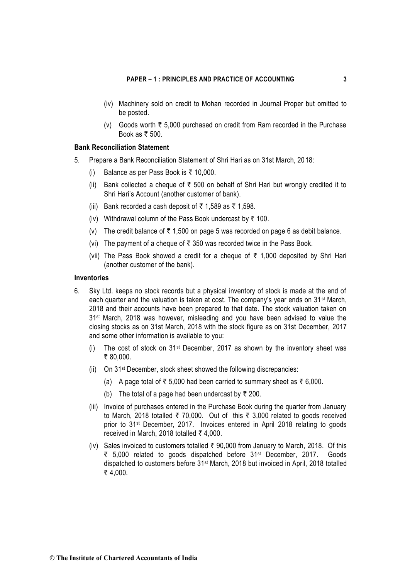- (iv) Machinery sold on credit to Mohan recorded in Journal Proper but omitted to be posted.
- (v) Goods worth  $\overline{\xi}$  5,000 purchased on credit from Ram recorded in the Purchase Book as  $\bar{\tau}$  500.

## **Bank Reconciliation Statement**

- 5. Prepare a Bank Reconciliation Statement of Shri Hari as on 31st March, 2018:
	- (i) Balance as per Pass Book is  $\bar{\tau}$  10,000.
	- (ii) Bank collected a cheque of  $\bar{\tau}$  500 on behalf of Shri Hari but wrongly credited it to Shri Hari's Account (another customer of bank).
	- (iii) Bank recorded a cash deposit of  $\bar{\tau}$  1,589 as  $\bar{\tau}$  1,598.
	- (iv) Withdrawal column of the Pass Book undercast by  $\bar{\tau}$  100.
	- (v) The credit balance of  $\bar{\tau}$  1,500 on page 5 was recorded on page 6 as debit balance.
	- (vi) The payment of a cheque of  $\bar{\tau}$  350 was recorded twice in the Pass Book.
	- (vii) The Pass Book showed a credit for a cheque of  $\bar{\tau}$  1,000 deposited by Shri Hari (another customer of the bank).

### **Inventories**

- 6. Sky Ltd. keeps no stock records but a physical inventory of stock is made at the end of each quarter and the valuation is taken at cost. The company's year ends on 31<sup>st</sup> March, 2018 and their accounts have been prepared to that date. The stock valuation taken on 31<sup>st</sup> March, 2018 was however, misleading and you have been advised to value the closing stocks as on 31st March, 2018 with the stock figure as on 31st December, 2017 and some other information is available to you:
	- (i) The cost of stock on  $31^{st}$  December, 2017 as shown by the inventory sheet was ₹ 80,000.
	- (ii) On 31st December, stock sheet showed the following discrepancies:
		- (a) A page total of  $\bar{\tau}$  5,000 had been carried to summary sheet as  $\bar{\tau}$  6,000.
		- (b) The total of a page had been undercast by  $\bar{\tau}$  200.
	- (iii) Invoice of purchases entered in the Purchase Book during the quarter from January to March, 2018 totalled  $\overline{\zeta}$  70,000. Out of this  $\overline{\zeta}$  3,000 related to goods received prior to 31st December, 2017. Invoices entered in April 2018 relating to goods received in March, 2018 totalled  $\bar{\tau}$  4,000.
	- (iv) Sales invoiced to customers totalled  $\bar{\tau}$  90,000 from January to March, 2018. Of this ₹ 5,000 related to goods dispatched before 31<sup>st</sup> December, 2017. Goods dispatched to customers before 31st March, 2018 but invoiced in April, 2018 totalled  $₹ 4.000.$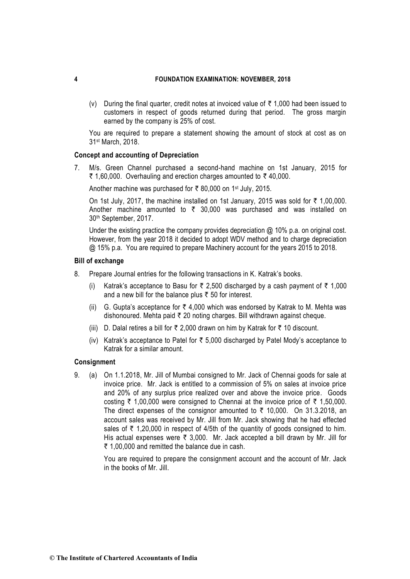(v) During the final quarter, credit notes at invoiced value of  $\bar{\tau}$  1,000 had been issued to customers in respect of goods returned during that period. The gross margin earned by the company is 25% of cost.

You are required to prepare a statement showing the amount of stock at cost as on 31st March, 2018.

## **Concept and accounting of Depreciation**

7. M/s. Green Channel purchased a second-hand machine on 1st January, 2015 for ₹ 1,60,000. Overhauling and erection charges amounted to  $\bar{z}$  40,000.

Another machine was purchased for  $\bar{\tau}$  80,000 on 1<sup>st</sup> July, 2015.

On 1st July, 2017, the machine installed on 1st January, 2015 was sold for  $\bar{\tau}$  1,00,000. Another machine amounted to  $\bar{\tau}$  30,000 was purchased and was installed on 30th September, 2017.

Under the existing practice the company provides depreciation @ 10% p.a. on original cost. However, from the year 2018 it decided to adopt WDV method and to charge depreciation @ 15% p.a. You are required to prepare Machinery account for the years 2015 to 2018.

## **Bill of exchange**

- 8. Prepare Journal entries for the following transactions in K. Katrak's books.
	- (i) Katrak's acceptance to Basu for  $\bar{\tau}$  2,500 discharged by a cash payment of  $\bar{\tau}$  1,000 and a new bill for the balance plus  $\bar{\tau}$  50 for interest.
	- (ii) G. Gupta's acceptance for  $\bar{\tau}$  4,000 which was endorsed by Katrak to M. Mehta was dishonoured. Mehta paid  $\bar{\tau}$  20 noting charges. Bill withdrawn against cheque.
	- (iii) D. Dalal retires a bill for  $\bar{\tau}$  2,000 drawn on him by Katrak for  $\bar{\tau}$  10 discount.
	- (iv) Katrak's acceptance to Patel for  $\bar{\tau}$  5,000 discharged by Patel Mody's acceptance to Katrak for a similar amount.

### **Consignment**

9. (a) On 1.1.2018, Mr. Jill of Mumbai consigned to Mr. Jack of Chennai goods for sale at invoice price. Mr. Jack is entitled to a commission of 5% on sales at invoice price and 20% of any surplus price realized over and above the invoice price. Goods costing  $\bar{\tau}$  1,00,000 were consigned to Chennai at the invoice price of  $\bar{\tau}$  1,50,000. The direct expenses of the consignor amounted to  $\bar{\tau}$  10,000. On 31.3.2018, an account sales was received by Mr. Jill from Mr. Jack showing that he had effected sales of  $\bar{\tau}$  1,20,000 in respect of 4/5th of the quantity of goods consigned to him. His actual expenses were  $\bar{\tau}$  3,000. Mr. Jack accepted a bill drawn by Mr. Jill for  $\bar{\tau}$  1,00,000 and remitted the balance due in cash.

> You are required to prepare the consignment account and the account of Mr. Jack in the books of Mr. Jill.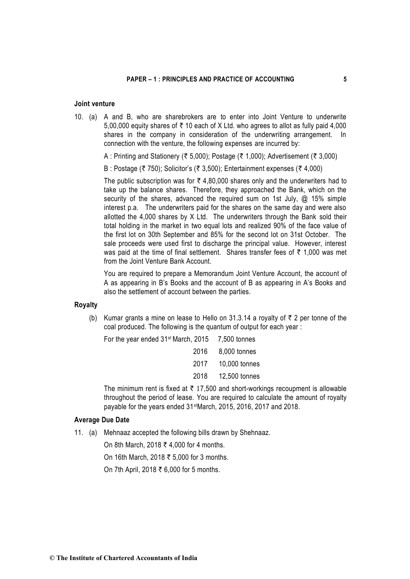### **Joint venture**

- 10. (a) A and B, who are sharebrokers are to enter into Joint Venture to underwrite 5,00,000 equity shares of  $\overline{\zeta}$  10 each of X Ltd. who agrees to allot as fully paid 4,000 shares in the company in consideration of the underwriting arrangement. In connection with the venture, the following expenses are incurred by:
	- A : Printing and Stationery (₹ 5,000); Postage (₹ 1,000); Advertisement (₹ 3,000)
	- B : Postage ( $\bar{\tau}$  750); Solicitor's ( $\bar{\tau}$  3,500); Entertainment expenses ( $\bar{\tau}$  4,000)

The public subscription was for  $\bar{\tau}$  4,80,000 shares only and the underwriters had to take up the balance shares. Therefore, they approached the Bank, which on the security of the shares, advanced the required sum on 1st July, @ 15% simple interest p.a. The underwriters paid for the shares on the same day and were also allotted the 4,000 shares by X Ltd. The underwriters through the Bank sold their total holding in the market in two equal lots and realized 90% of the face value of the first lot on 30th September and 85% for the second lot on 31st October. The sale proceeds were used first to discharge the principal value. However, interest was paid at the time of final settlement. Shares transfer fees of  $\bar{\tau}$  1,000 was met from the Joint Venture Bank Account.

You are required to prepare a Memorandum Joint Venture Account, the account of A as appearing in B's Books and the account of B as appearing in A's Books and also the settlement of account between the parties.

### **Royalty**

(b) Kumar grants a mine on lease to Hello on 31.3.14 a royalty of  $\bar{\tau}$  2 per tonne of the coal produced. The following is the quantum of output for each year :

| For the year ended $31$ <sup>st</sup> March, 2015 $7,500$ tonnes |               |
|------------------------------------------------------------------|---------------|
| 2016                                                             | 8,000 tonnes  |
| 2017                                                             | 10,000 tonnes |
| 2018                                                             | 12,500 tonnes |

The minimum rent is fixed at  $\bar{\tau}$  17,500 and short-workings recoupment is allowable throughout the period of lease. You are required to calculate the amount of royalty payable for the years ended 31stMarch, 2015, 2016, 2017 and 2018.

### **Average Due Date**

11. (a) Mehnaaz accepted the following bills drawn by Shehnaaz.

On 8th March, 2018 ₹ 4,000 for 4 months.

On 16th March, 2018  $\bar{\tau}$  5,000 for 3 months.

On 7th April, 2018 ₹ 6,000 for 5 months.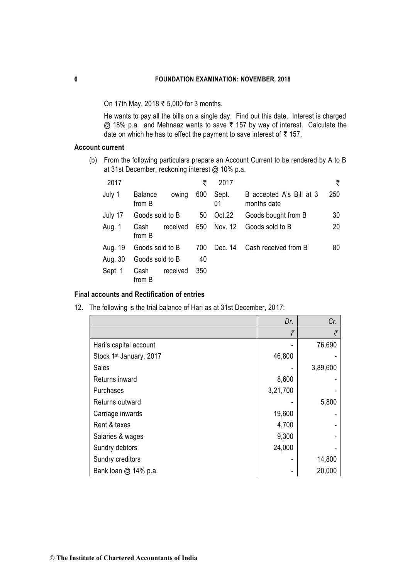On 17th May, 2018  $\bar{\tau}$  5,000 for 3 months.

He wants to pay all the bills on a single day. Find out this date. Interest is charged  $@$  18% p.a. and Mehnaaz wants to save  $\bar{\tau}$  157 by way of interest. Calculate the date on which he has to effect the payment to save interest of  $\bar{\tau}$  157.

## **Account current**

(b) From the following particulars prepare an Account Current to be rendered by A to B at 31st December, reckoning interest @ 10% p.a.

| 2017    |                          |          | ₹   | 2017        |                                         | ₹   |
|---------|--------------------------|----------|-----|-------------|-----------------------------------------|-----|
| July 1  | <b>Balance</b><br>from B | owing    | 600 | Sept.<br>01 | B accepted A's Bill at 3<br>months date | 250 |
| July 17 | Goods sold to B          |          | 50  | Oct.22      | Goods bought from B                     | 30  |
| Aug. 1  | Cash<br>from B           | received | 650 | Nov. 12     | Goods sold to B                         | 20  |
| Aug. 19 | Goods sold to B          |          | 700 | Dec. 14     | Cash received from B                    | 80  |
| Aug. 30 | Goods sold to B          |          | 40  |             |                                         |     |
| Sept. 1 | Cash<br>from B           | received | 350 |             |                                         |     |

## **Final accounts and Rectification of entries**

12. The following is the trial balance of Hari as at 31st December, 2017:

|                                     | Dr.      | Cr.      |
|-------------------------------------|----------|----------|
|                                     | ₹        | ₹        |
| Hari's capital account              |          | 76,690   |
| Stock 1 <sup>st</sup> January, 2017 | 46,800   |          |
| <b>Sales</b>                        |          | 3,89,600 |
| Returns inward                      | 8,600    |          |
| Purchases                           | 3,21,700 |          |
| Returns outward                     |          | 5,800    |
| Carriage inwards                    | 19,600   |          |
| Rent & taxes                        | 4,700    |          |
| Salaries & wages                    | 9,300    |          |
| Sundry debtors                      | 24,000   |          |
| Sundry creditors                    |          | 14,800   |
| Bank loan @ 14% p.a.                |          | 20,000   |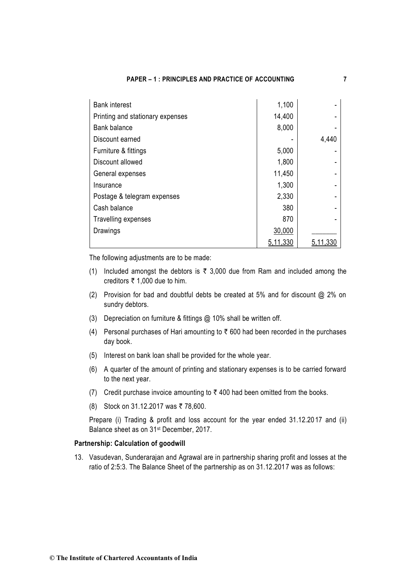| <b>Bank interest</b>             | 1,100    |          |
|----------------------------------|----------|----------|
| Printing and stationary expenses | 14,400   |          |
| Bank balance                     | 8,000    |          |
| Discount earned                  |          | 4,440    |
| Furniture & fittings             | 5,000    |          |
| Discount allowed                 | 1,800    |          |
| General expenses                 | 11,450   |          |
| Insurance                        | 1,300    |          |
| Postage & telegram expenses      | 2,330    |          |
| Cash balance                     | 380      |          |
| Travelling expenses              | 870      |          |
| Drawings                         | 30,000   |          |
|                                  | 5,11,330 | 5,11,330 |

The following adjustments are to be made:

- (1) Included amongst the debtors is  $\bar{\tau}$  3,000 due from Ram and included among the creditors  $\overline{\epsilon}$  1,000 due to him.
- (2) Provision for bad and doubtful debts be created at 5% and for discount @ 2% on sundry debtors.
- (3) Depreciation on furniture & fittings @ 10% shall be written off.
- (4) Personal purchases of Hari amounting to  $\bar{\tau}$  600 had been recorded in the purchases day book.
- (5) Interest on bank loan shall be provided for the whole year.
- (6) A quarter of the amount of printing and stationary expenses is to be carried forward to the next year.
- (7) Credit purchase invoice amounting to  $\bar{\tau}$  400 had been omitted from the books.
- (8) Stock on 31.12.2017 was ₹ 78,600.

Prepare (i) Trading & profit and loss account for the year ended 31.12.2017 and (ii) Balance sheet as on 31st December, 2017.

### **Partnership: Calculation of goodwill**

13. Vasudevan, Sunderarajan and Agrawal are in partnership sharing profit and losses at the ratio of 2:5:3. The Balance Sheet of the partnership as on 31.12.2017 was as follows: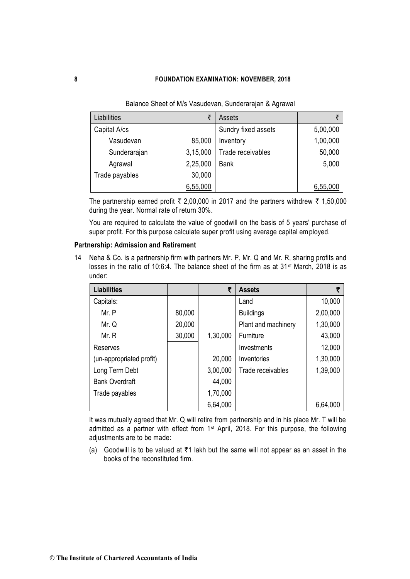| Liabilities    | ₹        | Assets              | ₹        |
|----------------|----------|---------------------|----------|
| Capital A/cs   |          | Sundry fixed assets | 5,00,000 |
| Vasudevan      | 85,000   | Inventory           | 1,00,000 |
| Sunderarajan   | 3,15,000 | Trade receivables   | 50,000   |
| Agrawal        | 2,25,000 | <b>Bank</b>         | 5,000    |
| Trade payables | 30,000   |                     |          |
|                | 6,55,000 |                     | 6,55,000 |

Balance Sheet of M/s Vasudevan, Sunderarajan & Agrawal

The partnership earned profit  $\bar{\tau}$  2,00,000 in 2017 and the partners withdrew  $\bar{\tau}$  1,50,000 during the year. Normal rate of return 30%.

You are required to calculate the value of goodwill on the basis of 5 years' purchase of super profit. For this purpose calculate super profit using average capital employed.

## **Partnership: Admission and Retirement**

14 Neha & Co. is a partnership firm with partners Mr. P, Mr. Q and Mr. R, sharing profits and losses in the ratio of 10:6:4. The balance sheet of the firm as at 31<sup>st</sup> March, 2018 is as under:

| <b>Liabilities</b>       |        | ₹        | <b>Assets</b>       |          |
|--------------------------|--------|----------|---------------------|----------|
| Capitals:                |        |          | Land                | 10,000   |
| Mr. P                    | 80,000 |          | <b>Buildings</b>    | 2,00,000 |
| Mr. Q                    | 20,000 |          | Plant and machinery | 1,30,000 |
| Mr. R                    | 30,000 | 1,30,000 | Furniture           | 43,000   |
| Reserves                 |        |          | Investments         | 12,000   |
| (un-appropriated profit) |        | 20,000   | Inventories         | 1,30,000 |
| Long Term Debt           |        | 3,00,000 | Trade receivables   | 1,39,000 |
| <b>Bank Overdraft</b>    |        | 44,000   |                     |          |
| Trade payables           |        | 1,70,000 |                     |          |
|                          |        | 6,64,000 |                     | 6,64,000 |

It was mutually agreed that Mr. Q will retire from partnership and in his place Mr. T will be admitted as a partner with effect from 1<sup>st</sup> April, 2018. For this purpose, the following adjustments are to be made:

(a) Goodwill is to be valued at  $\bar{\tau}$ 1 lakh but the same will not appear as an asset in the books of the reconstituted firm.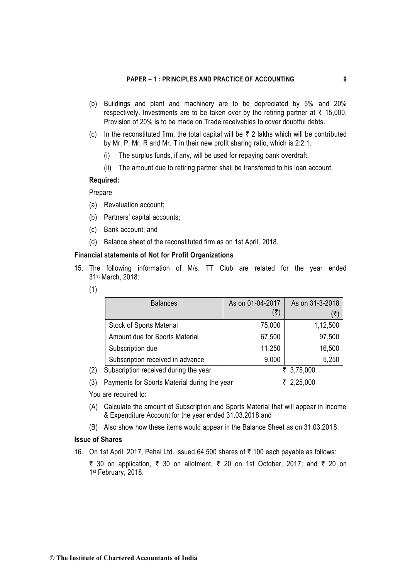- (b) Buildings and plant and machinery are to be depreciated by 5% and 20% respectively. Investments are to be taken over by the retiring partner at  $\bar{\tau}$  15,000. Provision of 20% is to be made on Trade receivables to cover doubtful debts.
- (c) In the reconstituted firm, the total capital will be  $\bar{\tau}$  2 lakhs which will be contributed by Mr. P, Mr. R and Mr. T in their new profit sharing ratio, which is 2:2:1.
	- (i) The surplus funds, if any, will be used for repaying bank overdraft.
	- (ii) The amount due to retiring partner shall be transferred to his loan account.

## **Required:**

### Prepare

- (a) Revaluation account;
- (b) Partners' capital accounts;
- (c) Bank account; and
- (d) Balance sheet of the reconstituted firm as on 1st April, 2018.

## **Financial statements of Not for Profit Organizations**

- 15. The following information of M/s. TT Club are related for the year ended 31st March, 2018:
	- (1)

|     | <b>Balances</b>                              | As on 01-04-2017 | As on 31-3-2018 |
|-----|----------------------------------------------|------------------|-----------------|
|     |                                              | (₹)              | (₹)             |
|     | <b>Stock of Sports Material</b>              | 75,000           | 1,12,500        |
|     | Amount due for Sports Material               | 67,500           | 97,500          |
|     | Subscription due                             | 11,250           | 16,500          |
|     | Subscription received in advance             | 9,000            | 5,250           |
| (2) | Subscription received during the year        |                  | ₹ 3,75,000      |
| (3) | Payments for Sports Material during the year |                  | ₹ 2,25,000      |

- You are required to:
- (A) Calculate the amount of Subscription and Sports Material that will appear in Income & Expenditure Account for the year ended 31.03.2018 and
- (B) Also show how these items would appear in the Balance Sheet as on 31.03.2018.

## **Issue of Shares**

- 16. On 1st April, 2017, Pehal Ltd. issued 64,500 shares of  $\bar{\tau}$  100 each payable as follows:
	- ₹ 30 on application, ₹ 30 on allotment, ₹ 20 on 1st October, 2017; and ₹ 20 on 1 st February, 2018.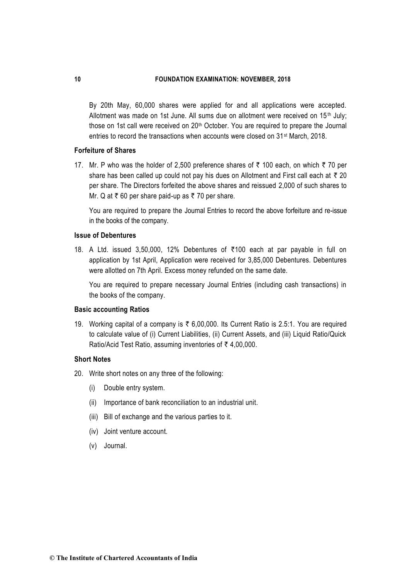By 20th May, 60,000 shares were applied for and all applications were accepted. Allotment was made on 1st June. All sums due on allotment were received on  $15<sup>th</sup>$  July; those on 1st call were received on 20<sup>th</sup> October. You are required to prepare the Journal entries to record the transactions when accounts were closed on 31st March, 2018.

### **Forfeiture of Shares**

17. Mr. P who was the holder of 2,500 preference shares of  $\bar{\tau}$  100 each, on which  $\bar{\tau}$  70 per share has been called up could not pay his dues on Allotment and First call each at  $\bar{\tau}$  20 per share. The Directors forfeited the above shares and reissued 2,000 of such shares to Mr. Q at  $\bar{\tau}$  60 per share paid-up as  $\bar{\tau}$  70 per share.

You are required to prepare the Journal Entries to record the above forfeiture and re-issue in the books of the company.

### **Issue of Debentures**

18. A Ltd. issued 3,50,000, 12% Debentures of  $\overline{5}100$  each at par payable in full on application by 1st April, Application were received for 3,85,000 Debentures. Debentures were allotted on 7th April. Excess money refunded on the same date.

You are required to prepare necessary Journal Entries (including cash transactions) in the books of the company.

### **Basic accounting Ratios**

19. Working capital of a company is  $\bar{\tau}$  6,00,000. Its Current Ratio is 2.5:1. You are required to calculate value of (i) Current Liabilities, (ii) Current Assets, and (iii) Liquid Ratio/Quick Ratio/Acid Test Ratio, assuming inventories of  $\bar{\tau}$  4,00,000.

### **Short Notes**

- 20. Write short notes on any three of the following:
	- (i) Double entry system.
	- (ii) Importance of bank reconciliation to an industrial unit.
	- (iii) Bill of exchange and the various parties to it.
	- (iv) Joint venture account.
	- (v) Journal.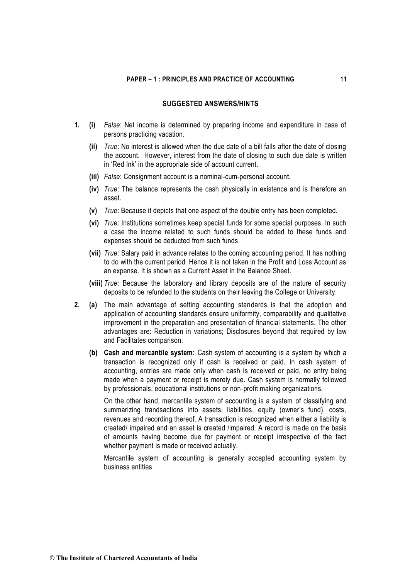## **SUGGESTED ANSWERS/HINTS**

- **1. (i)** *False*: Net income is determined by preparing income and expenditure in case of persons practicing vacation.
	- **(ii)** *True*: No interest is allowed when the due date of a bill falls after the date of closing the account. However, interest from the date of closing to such due date is written in 'Red Ink' in the appropriate side of account current.
	- **(iii)** *False*: Consignment account is a nominal-cum-personal account.
	- **(iv)** *True*: The balance represents the cash physically in existence and is therefore an asset.
	- **(v)** *True*: Because it depicts that one aspect of the double entry has been completed.
	- **(vi)** *True*: Institutions sometimes keep special funds for some special purposes. In such a case the income related to such funds should be added to these funds and expenses should be deducted from such funds.
	- **(vii)** *True*: Salary paid in advance relates to the coming accounting period. It has nothing to do with the current period. Hence it is not taken in the Profit and Loss Account as an expense. It is shown as a Current Asset in the Balance Sheet.
	- **(viii)** *True*: Because the laboratory and library deposits are of the nature of security deposits to be refunded to the students on their leaving the College or University.
- **2. (a)** The main advantage of setting accounting standards is that the adoption and application of accounting standards ensure uniformity, comparability and qualitative improvement in the preparation and presentation of financial statements. The other advantages are: Reduction in variations; Disclosures beyond that required by law and Facilitates comparison.
	- **(b) Cash and mercantile system:** Cash system of accounting is a system by which a transaction is recognized only if cash is received or paid. In cash system of accounting, entries are made only when cash is received or paid, no entry being made when a payment or receipt is merely due. Cash system is normally followed by professionals, educational institutions or non-profit making organizations.

On the other hand, mercantile system of accounting is a system of classifying and summarizing trandsactions into assets, liabilities, equity (owner's fund), costs, revenues and recording thereof. A transaction is recognized when either a liability is created/ impaired and an asset is created /impaired. A record is made on the basis of amounts having become due for payment or receipt irrespective of the fact whether payment is made or received actually.

Mercantile system of accounting is generally accepted accounting system by business entities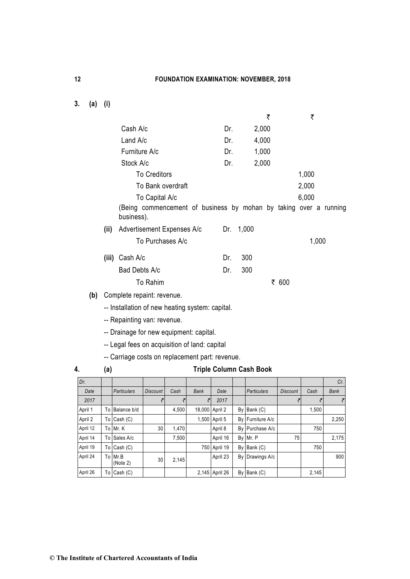**3. (a) (i)** 

|                      |      |                                                 |                     |                |             |                     |    | ₹                                                                 |                 | ₹     |             |
|----------------------|------|-------------------------------------------------|---------------------|----------------|-------------|---------------------|----|-------------------------------------------------------------------|-----------------|-------|-------------|
|                      |      | Cash A/c                                        |                     |                |             | Dr.                 |    | 2,000                                                             |                 |       |             |
|                      |      | Land A/c                                        |                     |                |             | Dr.                 |    | 4,000                                                             |                 |       |             |
|                      |      | Furniture A/c                                   |                     |                |             | Dr.                 |    | 1,000                                                             |                 |       |             |
|                      |      | Stock A/c                                       |                     |                |             | Dr.                 |    | 2,000                                                             |                 |       |             |
|                      |      |                                                 | <b>To Creditors</b> |                |             |                     |    |                                                                   |                 | 1,000 |             |
|                      |      |                                                 | To Bank overdraft   |                |             |                     |    |                                                                   |                 | 2,000 |             |
|                      |      |                                                 | To Capital A/c      |                |             |                     |    |                                                                   |                 | 6,000 |             |
|                      |      |                                                 |                     |                |             |                     |    | (Being commencement of business by mohan by taking over a running |                 |       |             |
|                      |      | business).                                      |                     |                |             |                     |    |                                                                   |                 |       |             |
|                      | (ii) | Advertisement Expenses A/c                      |                     |                |             | Dr.                 |    | 1,000                                                             |                 |       |             |
|                      |      |                                                 | To Purchases A/c    |                |             |                     |    |                                                                   |                 | 1,000 |             |
|                      |      | (iii) Cash A/c                                  |                     |                |             | Dr.                 |    | 300                                                               |                 |       |             |
|                      |      | Bad Debts A/c                                   |                     |                |             | Dr.                 |    | 300                                                               |                 |       |             |
|                      |      |                                                 | To Rahim            |                |             |                     |    |                                                                   | ₹ 600           |       |             |
| (b)                  |      | Complete repaint: revenue.                      |                     |                |             |                     |    |                                                                   |                 |       |             |
|                      |      | -- Installation of new heating system: capital. |                     |                |             |                     |    |                                                                   |                 |       |             |
|                      |      |                                                 |                     |                |             |                     |    |                                                                   |                 |       |             |
|                      |      | -- Repainting van: revenue.                     |                     |                |             |                     |    |                                                                   |                 |       |             |
|                      |      | -- Drainage for new equipment: capital.         |                     |                |             |                     |    |                                                                   |                 |       |             |
|                      |      | -- Legal fees on acquisition of land: capital   |                     |                |             |                     |    |                                                                   |                 |       |             |
|                      |      | -- Carriage costs on replacement part: revenue. |                     |                |             |                     |    |                                                                   |                 |       |             |
| 4.                   | (a)  |                                                 |                     |                |             |                     |    | <b>Triple Column Cash Book</b>                                    |                 |       |             |
| Dr.                  |      |                                                 |                     |                |             |                     |    |                                                                   |                 |       | Cr.         |
| Date                 |      | <b>Particulars</b>                              | <b>Discount</b>     | Cash           | <b>Bank</b> | Date                |    | <b>Particulars</b>                                                | <b>Discount</b> | Cash  | <b>Bank</b> |
| 2017                 |      |                                                 | ₹                   | ₹              | ₹           | 2017                |    |                                                                   | ₹               | ₹     | ₹           |
| April 1              |      | To Balance b/d                                  |                     | 4,500          |             | 18,000 April 2      |    | By Bank (C)                                                       |                 | 1,500 |             |
| April 2              |      | To $Cash (C)$                                   |                     |                |             | 1,500 April 5       | By | Furniture A/c                                                     |                 |       | 2,250       |
| April 12<br>April 14 |      | To Mr. K<br>To Sales A/c                        | 30                  | 1,470<br>7,500 |             | April 8<br>April 16 |    | By Purchase A/c<br>By Mr. P                                       | 75              | 750   | 2,175       |
|                      |      |                                                 |                     |                |             |                     |    |                                                                   |                 |       |             |

April 19 To Cash (C) 750 April 19 By Bank (C) 750

April 26 | To Cash (C) 2,145 April 26 By Bank (C) 2,145

Mr.B 30 2,145 April 23 By Drawings A/c 900<br>(Note 2)

April 24 To Mr.B<br>(Note 2)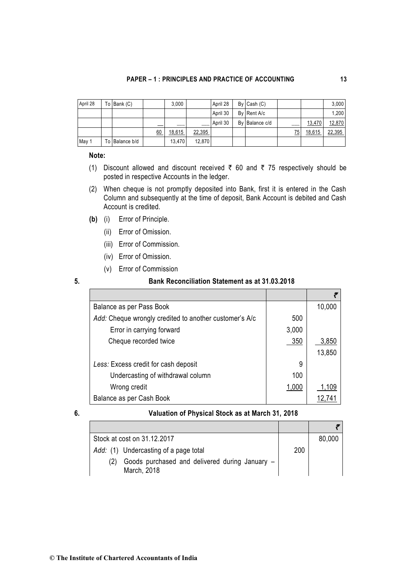| April 28 | To Bank $(C)$  |    | 3.000  |        | April 28 | $By$ Cash $(C)$ |     |        | 3.000  |
|----------|----------------|----|--------|--------|----------|-----------------|-----|--------|--------|
|          |                |    |        |        | April 30 | By Rent A/c     |     |        | 1.200  |
|          |                |    |        |        | April 30 | By Balance c/d  | ___ | 13,470 | 12,870 |
|          |                | 60 | 18.615 | 22,395 |          |                 | 75  | 18.615 | 22,395 |
| May 1    | To Balance b/d |    | 13.470 | 12.870 |          |                 |     |        |        |

### **Note:**

- (1) Discount allowed and discount received  $\bar{\tau}$  60 and  $\bar{\tau}$  75 respectively should be posted in respective Accounts in the ledger.
- (2) When cheque is not promptly deposited into Bank, first it is entered in the Cash Column and subsequently at the time of deposit, Bank Account is debited and Cash Account is credited.
- **(b)** (i) Error of Principle.
	- (ii) Error of Omission.
	- (iii) Error of Commission.
	- (iv) Error of Omission.
	- (v) Error of Commission

## **5. Bank Reconciliation Statement as at 31.03.2018**

| Balance as per Pass Book                               |       | 10,000 |
|--------------------------------------------------------|-------|--------|
| Add: Cheque wrongly credited to another customer's A/c | 500   |        |
| Error in carrying forward                              | 3,000 |        |
| Cheque recorded twice                                  | 350   | 3,850  |
|                                                        |       | 13,850 |
| Less: Excess credit for cash deposit                   | 9     |        |
| Undercasting of withdrawal column                      | 100   |        |
| Wrong credit                                           | 1,000 | 1,109  |
| Balance as per Cash Book                               |       |        |

## **6. Valuation of Physical Stock as at March 31, 2018**

| Stock at cost on 31.12.2017                                   |     | 80,000 |
|---------------------------------------------------------------|-----|--------|
| Add: (1) Undercasting of a page total                         | 200 |        |
| Goods purchased and delivered during January -<br>March, 2018 |     |        |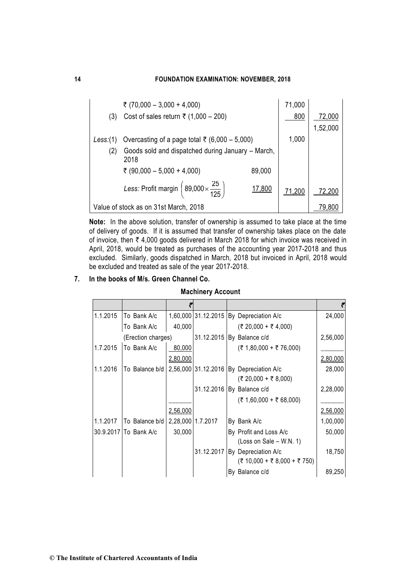|           | ₹ (70,000 - 3,000 + 4,000)                                      |                                                   | 71,000 |          |  |
|-----------|-----------------------------------------------------------------|---------------------------------------------------|--------|----------|--|
| (3)       | Cost of sales return $\bar{\tau}$ (1,000 - 200)                 |                                                   | 800    | 72,000   |  |
|           |                                                                 |                                                   |        | 1,52,000 |  |
| Less: (1) | Overcasting of a page total ₹ (6,000 – 5,000)                   |                                                   | 1,000  |          |  |
| (2)       | 2018                                                            | Goods sold and dispatched during January - March, |        |          |  |
|           | ₹ (90,000 - 5,000 + 4,000)                                      | 89,000                                            |        |          |  |
|           | Less: Profit margin $\left(89,000 \times \frac{25}{125}\right)$ | 17,800                                            | 71,200 | 72,200   |  |
|           | Value of stock as on 31st March, 2018                           |                                                   |        | 79.80    |  |

**Note:** In the above solution, transfer of ownership is assumed to take place at the time of delivery of goods. If it is assumed that transfer of ownership takes place on the date of invoice, then  $\bar{\tau}$  4,000 goods delivered in March 2018 for which invoice was received in April, 2018, would be treated as purchases of the accounting year 2017-2018 and thus excluded. Similarly, goods dispatched in March, 2018 but invoiced in April, 2018 would be excluded and treated as sale of the year 2017-2018.

## **7. In the books of M/s. Green Channel Co.**

## **Machinery Account**

|          |                       |          |                   |                                         | ₹        |
|----------|-----------------------|----------|-------------------|-----------------------------------------|----------|
| 1.1.2015 | To Bank A/c           |          |                   | 1,60,000 31.12.2015 By Depreciation A/c | 24,000   |
|          | To Bank A/c           | 40,000   |                   | (₹ 20,000 + ₹ 4,000)                    |          |
|          | (Erection charges)    |          |                   | 31.12.2015 By Balance c/d               | 2,56,000 |
| 1.7.2015 | To Bank A/c           | 80,000   |                   | $($ ₹ 1,80,000 + ₹ 76,000)              |          |
|          |                       | 2,80,000 |                   |                                         | 2,80,000 |
| 1.1.2016 | To Balance b/d        |          |                   | 2,56,000 31.12.2016 By Depreciation A/c | 28,000   |
|          |                       |          |                   | $($ ₹ 20,000 + ₹ 8,000)                 |          |
|          |                       |          |                   | 31.12.2016 By Balance c/d               | 2,28,000 |
|          |                       |          |                   | $($ ₹ 1,60,000 + ₹ 68,000)              |          |
|          |                       | 2,56,000 |                   |                                         | 2,56,000 |
| 1.1.2017 | To Balance b/d        |          | 2,28,000 1.7.2017 | By Bank A/c                             | 1,00,000 |
|          | 30.9.2017 To Bank A/c | 30,000   |                   | By Profit and Loss A/c                  | 50,000   |
|          |                       |          |                   | (Loss on Sale $-$ W.N. 1)               |          |
|          |                       |          | 31.12.2017        | By Depreciation A/c                     | 18,750   |
|          |                       |          |                   | $($ ₹ 10,000 + ₹ 8,000 + ₹ 750)         |          |
|          |                       |          |                   | By Balance c/d                          | 89,250   |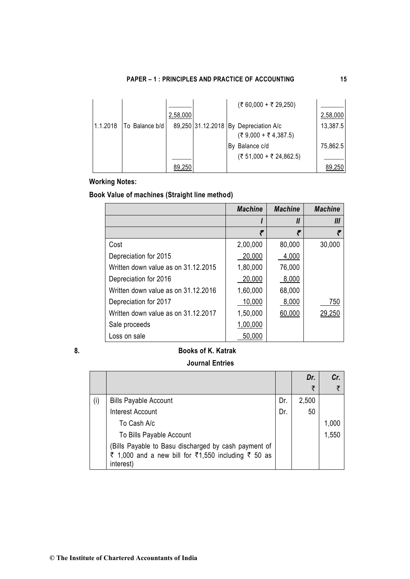|          |                |          |  | $($ ₹ 60,000 + ₹ 29,250)              |          |
|----------|----------------|----------|--|---------------------------------------|----------|
|          |                | 2,58,000 |  |                                       | 2,58,000 |
| 1.1.2018 | To Balance b/d |          |  | 89,250 31.12.2018 By Depreciation A/c | 13,387.5 |
|          |                |          |  | $( ₹ 9,000 + ₹ 4,387.5)$              |          |
|          |                |          |  | By Balance c/d                        | 75,862.5 |
|          |                |          |  | (₹ 51,000 + ₹ 24,862.5)               |          |
|          |                | 89,250   |  |                                       | 89,250   |

# **Working Notes:**

# **Book Value of machines (Straight line method)**

|                                     | <b>Machine</b> | <b>Machine</b> | <b>Machine</b> |
|-------------------------------------|----------------|----------------|----------------|
|                                     |                | $\mathbf{u}$   | Ш              |
|                                     | ₹              | ₹              |                |
| Cost                                | 2,00,000       | 80,000         | 30,000         |
| Depreciation for 2015               | 20,000         | 4,000          |                |
| Written down value as on 31.12.2015 | 1,80,000       | 76,000         |                |
| Depreciation for 2016               | 20,000         | 8,000          |                |
| Written down value as on 31.12.2016 | 1,60,000       | 68,000         |                |
| Depreciation for 2017               | 10,000         | 8,000          | 750            |
| Written down value as on 31.12.2017 | 1,50,000       | 60,000         | 29,250         |
| Sale proceeds                       | 1,00,000       |                |                |
| Loss on sale                        | 50,000         |                |                |

## **8. Books of K. Katrak**

## **Journal Entries**

|     |                                                      |     | Dr.   | Cr.   |
|-----|------------------------------------------------------|-----|-------|-------|
|     |                                                      |     | ₹     | ₹     |
| (i) | <b>Bills Payable Account</b>                         | Dr. | 2,500 |       |
|     | <b>Interest Account</b>                              | Dr. | 50    |       |
|     | To Cash A/c                                          |     |       | 1,000 |
|     | To Bills Payable Account                             |     |       | 1,550 |
|     | (Bills Payable to Basu discharged by cash payment of |     |       |       |
|     | ₹ 1,000 and a new bill for ₹1,550 including ₹ 50 as  |     |       |       |
|     | interest)                                            |     |       |       |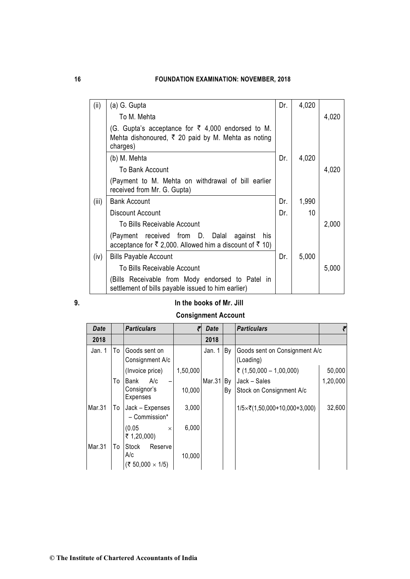| (ii)  | (a) G. Gupta                                                                                                                                 | Dr. | 4,020 |       |
|-------|----------------------------------------------------------------------------------------------------------------------------------------------|-----|-------|-------|
|       | To M. Mehta                                                                                                                                  |     |       | 4,020 |
|       | (G. Gupta's acceptance for $\bar{\xi}$ 4,000 endorsed to M.<br>Mehta dishonoured, $\overline{\xi}$ 20 paid by M. Mehta as noting<br>charges) |     |       |       |
|       | (b) M. Mehta                                                                                                                                 | Dr. | 4,020 |       |
|       | To Bank Account                                                                                                                              |     |       | 4,020 |
|       | (Payment to M. Mehta on withdrawal of bill earlier<br>received from Mr. G. Gupta)                                                            |     |       |       |
| (iii) | <b>Bank Account</b>                                                                                                                          | Dr. | 1,990 |       |
|       | Discount Account                                                                                                                             | Dr. | 10    |       |
|       | To Bills Receivable Account                                                                                                                  |     |       | 2,000 |
|       | (Payment received from D. Dalal<br>against<br>his<br>acceptance for ₹ 2,000. Allowed him a discount of ₹ 10)                                 |     |       |       |
| (iv)  | <b>Bills Payable Account</b>                                                                                                                 | Dr. | 5,000 |       |
|       | To Bills Receivable Account                                                                                                                  |     |       | 5,000 |
|       | (Bills Receivable from Mody endorsed to Patel in<br>settlement of bills payable issued to him earlier)                                       |     |       |       |

## **9. In the books of Mr. Jill**

# **Consignment Account**

| <b>Date</b> |    | <b>Particulars</b>                                 | ₹        | <b>Date</b> |            | <b>Particulars</b>                                   | ₹        |
|-------------|----|----------------------------------------------------|----------|-------------|------------|------------------------------------------------------|----------|
| 2018        |    |                                                    |          | 2018        |            |                                                      |          |
| Jan. 1      | To | Goods sent on<br>Consignment A/c                   |          | Jan. 1      | By         | Goods sent on Consignment A/c<br>(Loading)           |          |
|             |    | (Invoice price)                                    | 1,50,000 |             |            | ₹ $(1,50,000 - 1,00,000)$                            | 50,000   |
|             | To | A/c<br>Bank<br>Consignor's<br>Expenses             | 10,000   | Mar.31      | ∣ By<br>By | Jack - Sales<br>Stock on Consignment A/c             | 1,20,000 |
| Mar.31      | To | Jack - Expenses<br>- Commission*                   | 3,000    |             |            | $1/5 \times \overline{\tau} (1,50,000+10,000+3,000)$ | 32,600   |
|             |    | (0.05)<br>$\times$<br>₹ 1,20,000)                  | 6,000    |             |            |                                                      |          |
| Mar.31      | To | Stock<br>Reserve<br>A/c<br>(₹ 50,000 $\times$ 1/5) | 10,000   |             |            |                                                      |          |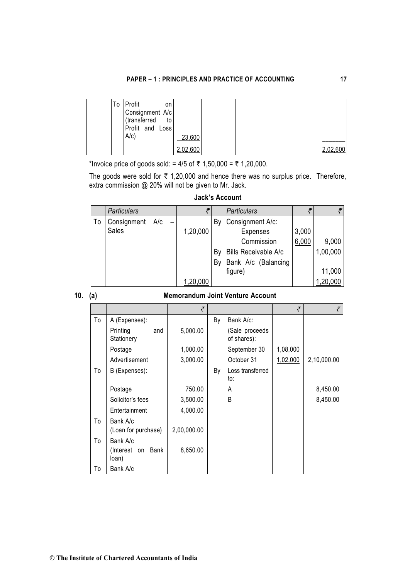| To Profit<br>on<br>Consignment A/c<br>(transferred<br>to<br>Profit and Loss<br>$A/c$ ) | 23,600   |  |  |          |
|----------------------------------------------------------------------------------------|----------|--|--|----------|
|                                                                                        | 2,02,600 |  |  | 2,02,600 |

\*Invoice price of goods sold: =  $4/5$  of  $\bar{\tau}$  1,50,000 =  $\bar{\tau}$  1,20,000.

The goods were sold for  $\bar{\tau}$  1,20,000 and hence there was no surplus price. Therefore, extra commission @ 20% will not be given to Mr. Jack.

|    | <b>Particulars</b> |     |          |    | <b>Particulars</b>          |       |          |
|----|--------------------|-----|----------|----|-----------------------------|-------|----------|
| To | Consignment        | A/c |          | Bν | Consignment A/c:            |       |          |
|    | Sales              |     | 1,20,000 |    | Expenses                    | 3,000 |          |
|    |                    |     |          |    | Commission                  | 6,000 | 9,000    |
|    |                    |     |          | Bv | <b>Bills Receivable A/c</b> |       | 1,00,000 |
|    |                    |     |          | Bν | Bank A/c (Balancing         |       |          |
|    |                    |     |          |    | figure)                     |       | 11,000   |
|    |                    |     | 1,20,000 |    |                             |       | 1,20,000 |

### **Jack's Account**

### **10. (a) Memorandum Joint Venture Account**

|    |                               | ₹           |    |                               | ₹        | ₹           |
|----|-------------------------------|-------------|----|-------------------------------|----------|-------------|
| To | A (Expenses):                 |             | By | Bank A/c:                     |          |             |
|    | Printing<br>and<br>Stationery | 5,000.00    |    | (Sale proceeds<br>of shares): |          |             |
|    | Postage                       | 1,000.00    |    | September 30                  | 1,08,000 |             |
|    | Advertisement                 | 3,000.00    |    | October 31                    | 1,02,000 | 2,10,000.00 |
| To | B (Expenses):                 |             | By | Loss transferred<br>to:       |          |             |
|    | Postage                       | 750.00      |    | A                             |          | 8,450.00    |
|    | Solicitor's fees              | 3,500.00    |    | B                             |          | 8,450.00    |
|    | Entertainment                 | 4,000.00    |    |                               |          |             |
| To | Bank A/c                      |             |    |                               |          |             |
|    | (Loan for purchase)           | 2,00,000.00 |    |                               |          |             |
| To | Bank A/c                      |             |    |                               |          |             |
|    | Bank<br>(Interest on<br>loan) | 8,650.00    |    |                               |          |             |
| To | Bank A/c                      |             |    |                               |          |             |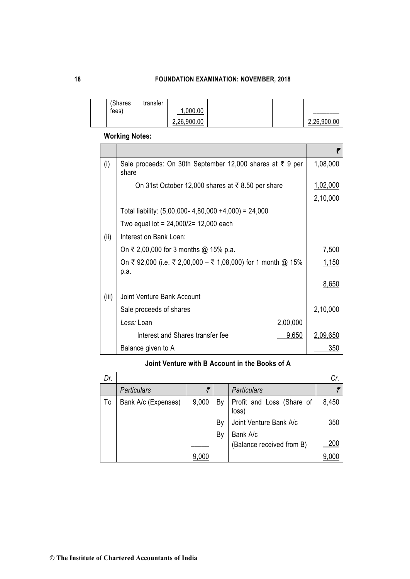| (Shares | transfer |                        |  |             |
|---------|----------|------------------------|--|-------------|
| fees)   |          | .000.00<br>2,26,900.00 |  | 2.26.900.00 |
|         |          |                        |  |             |

**Working Notes:**

|       |                                                                      | ₹        |  |  |  |  |  |
|-------|----------------------------------------------------------------------|----------|--|--|--|--|--|
| (i)   | Sale proceeds: On 30th September 12,000 shares at ₹ 9 per<br>share   | 1,08,000 |  |  |  |  |  |
|       | On 31st October 12,000 shares at ₹8.50 per share                     |          |  |  |  |  |  |
|       |                                                                      | 2,10,000 |  |  |  |  |  |
|       | Total liability: $(5,00,000 - 4,80,000 + 4,000) = 24,000$            |          |  |  |  |  |  |
|       | Two equal lot = $24,000/2= 12,000$ each                              |          |  |  |  |  |  |
| (ii)  | Interest on Bank Loan:                                               |          |  |  |  |  |  |
|       | On ₹ 2,00,000 for 3 months @ 15% p.a.                                | 7,500    |  |  |  |  |  |
|       | On ₹ 92,000 (i.e. ₹ 2,00,000 – ₹ 1,08,000) for 1 month @ 15%<br>p.a. | 1,150    |  |  |  |  |  |
|       |                                                                      | 8,650    |  |  |  |  |  |
| (iii) | <b>Joint Venture Bank Account</b>                                    |          |  |  |  |  |  |
|       | Sale proceeds of shares                                              | 2,10,000 |  |  |  |  |  |
|       | Less: Loan<br>2,00,000                                               |          |  |  |  |  |  |
|       | Interest and Shares transfer fee<br>9,650                            | 2,09,650 |  |  |  |  |  |
|       | Balance given to A                                                   | 350      |  |  |  |  |  |

# **Joint Venture with B Account in the Books of A**

| Dr. |                     |       |    |                                    | Cr.   |
|-----|---------------------|-------|----|------------------------------------|-------|
|     | <b>Particulars</b>  |       |    | <b>Particulars</b>                 |       |
| To  | Bank A/c (Expenses) | 9,000 | By | Profit and Loss (Share of<br>loss) | 8,450 |
|     |                     |       | By | Joint Venture Bank A/c             | 350   |
|     |                     |       | By | Bank A/c                           |       |
|     |                     |       |    | (Balance received from B)          | 200   |
|     |                     | 9.000 |    |                                    |       |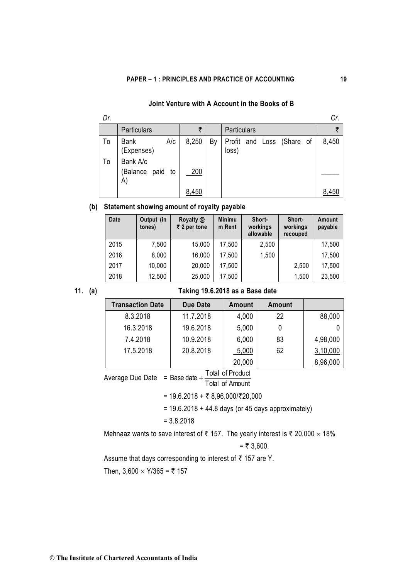## **Joint Venture with A Account in the Books of B**

| Dr. |                                       |       |    |                                    | Cr.   |
|-----|---------------------------------------|-------|----|------------------------------------|-------|
|     | Particulars                           | ₹     |    | <b>Particulars</b>                 |       |
| To  | A/c<br><b>Bank</b><br>(Expenses)      | 8,250 | By | Profit and Loss (Share of<br>loss) | 8,450 |
| To  | Bank A/c<br>(Balance paid<br>to<br>A) | 200   |    |                                    |       |
|     |                                       | 8,450 |    |                                    | 8,450 |

## **(b) Statement showing amount of royalty payable**

| <b>Date</b> | Output (in<br>tones) | Royalty @<br>$\bar{z}$ 2 per tone | <b>Minimu</b><br>m Rent | Short-<br>workings<br>allowable | Short-<br>workings<br>recouped | Amount<br>payable |
|-------------|----------------------|-----------------------------------|-------------------------|---------------------------------|--------------------------------|-------------------|
| 2015        | 7,500                | 15,000                            | 17,500                  | 2,500                           |                                | 17,500            |
| 2016        | 8,000                | 16,000                            | 17,500                  | 1,500                           |                                | 17,500            |
| 2017        | 10,000               | 20,000                            | 17,500                  |                                 | 2,500                          | 17,500            |
| 2018        | 12,500               | 25,000                            | 17,500                  |                                 | 1,500                          | 23,500            |

# **11. (a) Taking 19.6.2018 as a Base date**

| <b>Transaction Date</b> | Due Date  | Amount | Amount |          |
|-------------------------|-----------|--------|--------|----------|
| 8.3.2018                | 11.7.2018 | 4,000  | 22     | 88,000   |
| 16.3.2018               | 19.6.2018 | 5,000  | U      |          |
| 7.4.2018                | 10.9.2018 | 6,000  | 83     | 4,98,000 |
| 17.5.2018               | 20.8.2018 | 5,000  | 62     | 3,10,000 |
|                         |           | 20,000 |        | 8,96,000 |

Average Due Date = Base date + Total of Hodadi<br>Total of Amount Base date  $+$   $\overline{\phantom{a}}$  Total of Product

=  $19.6.2018 + ₹ 8,96,000$ /₹20,000

 $= 19.6.2018 + 44.8$  days (or 45 days approximately)

= 3.8.2018

Mehnaaz wants to save interest of  $\bar{\tau}$  157. The yearly interest is  $\bar{\tau}$  20,000  $\times$  18%

$$
=
$$
  $\overline{5}$  3,600.

Assume that days corresponding to interest of  $\bar{\tau}$  157 are Y.

Then,  $3,600 \times Y/365 = ₹ 157$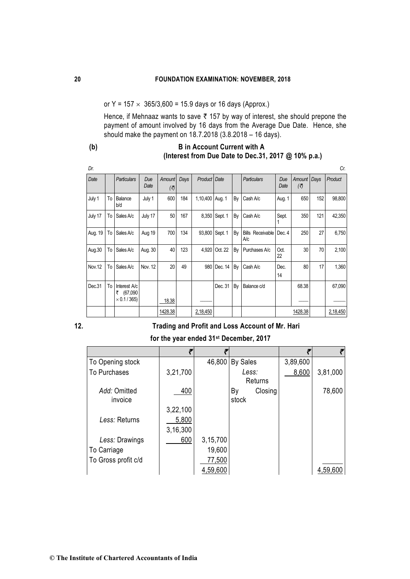or Y =  $157 \times 365/3,600 = 15.9$  days or 16 days (Approx.)

Hence, if Mehnaaz wants to save  $\bar{\tau}$  157 by way of interest, she should prepone the payment of amount involved by 16 days from the Average Due Date. Hence, she should make the payment on 18.7.2018 (3.8.2018 – 16 days).

## **(b) B in Account Current with A (Interest from Due Date to Dec.31, 2017 @ 10% p.a.)**

| Dr.     |    |                                                      |             |               |      |              |         |    |                                |             |               |      | Cr.      |
|---------|----|------------------------------------------------------|-------------|---------------|------|--------------|---------|----|--------------------------------|-------------|---------------|------|----------|
| Date    |    | <b>Particulars</b>                                   | Due<br>Date | Amount<br>(₹) | Days | Product Date |         |    | <b>Particulars</b>             | Due<br>Date | Amount<br>(₹) | Days | Product  |
| July 1  | To | Balance<br>b/d                                       | July 1      | 600           | 184  | 1,10,400     | Aug. 1  | By | Cash A/c                       | Aug. 1      | 650           | 152  | 98,800   |
| July 17 | To | Sales A/c                                            | July 17     | 50            | 167  | 8,350        | Sept. 1 | By | Cash A/c                       | Sept.       | 350           | 121  | 42,350   |
| Aug. 19 | To | Sales A/c                                            | Aug 19      | 700           | 134  | 93,800       | Sept. 1 | By | <b>Bills Receivable</b><br>A/c | Dec. 4      | 250           | 27   | 6,750    |
| Aug.30  | To | Sales A/c                                            | Aug. 30     | 40            | 123  | 4,920        | Oct. 22 | By | Purchases A/c                  | Oct.<br>22  | 30            | 70   | 2,100    |
| Nov.12  | To | Sales A/c                                            | Nov. 12     | 20            | 49   | 980          | Dec. 14 | By | Cash A/c                       | Dec.<br>14  | 80            | 17   | 1,360    |
| Dec.31  | To | Interest A/c<br>(67,090)<br>₹<br>$\times$ 0.1 / 365) |             |               |      |              | Dec. 31 | By | Balance c/d                    |             | 68.38         |      | 67,090   |
|         |    |                                                      |             | 18.38         |      |              |         |    |                                |             |               |      |          |
|         |    |                                                      |             | 1428.38       |      | 2,18,450     |         |    |                                |             | 1428.38       |      | 2,18,450 |

## **12***.* **Trading and Profit and Loss Account of Mr. Hari**

**for the year ended 31st December, 2017**

|                     |          |          |                 |          | ₹        |
|---------------------|----------|----------|-----------------|----------|----------|
| To Opening stock    |          | 46,800   | <b>By Sales</b> | 3,89,600 |          |
| To Purchases        | 3,21,700 |          | Less:           | 8,600    | 3,81,000 |
|                     |          |          | Returns         |          |          |
| Add: Omitted        | 400      |          | Closing<br>Bγ   |          | 78,600   |
| invoice             |          |          | stock           |          |          |
|                     | 3,22,100 |          |                 |          |          |
| Less: Returns       | 5,800    |          |                 |          |          |
|                     | 3,16,300 |          |                 |          |          |
| Less: Drawings      | 600      | 3,15,700 |                 |          |          |
| To Carriage         |          | 19,600   |                 |          |          |
| To Gross profit c/d |          | 77,500   |                 |          |          |
|                     |          | 4,59,600 |                 |          | 4,59,600 |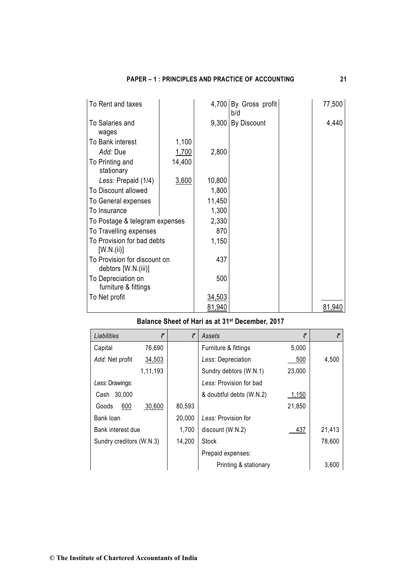| <b>PAPER – 1: PRINCIPLES AND PRACTICE OF ACCOUNTING</b> |  |
|---------------------------------------------------------|--|
|---------------------------------------------------------|--|

| To Rent and taxes                                   |        |        | 4,700 By Gross profit<br>b/d | 77,500 |
|-----------------------------------------------------|--------|--------|------------------------------|--------|
| To Salaries and<br>wages                            |        |        | 9,300 By Discount            | 4,440  |
| To Bank interest                                    | 1,100  |        |                              |        |
| Add: Due                                            | 1,700  | 2,800  |                              |        |
| To Printing and<br>stationary                       | 14,400 |        |                              |        |
| Less: Prepaid (1/4)                                 | 3,600  | 10,800 |                              |        |
| To Discount allowed                                 |        | 1,800  |                              |        |
| To General expenses                                 |        | 11,450 |                              |        |
| To Insurance                                        |        | 1,300  |                              |        |
| To Postage & telegram expenses                      |        | 2,330  |                              |        |
| To Travelling expenses                              |        | 870    |                              |        |
| To Provision for bad debts<br>[W.N.(ii)]            |        | 1,150  |                              |        |
| To Provision for discount on<br>debtors [W.N.(iii)] |        | 437    |                              |        |
| To Depreciation on<br>furniture & fittings          |        | 500    |                              |        |
| To Net profit                                       |        | 34,503 |                              |        |
|                                                     |        | 81,940 |                              | 81,940 |

# **Balance Sheet of Hari as at 31st December, 2017**

| Liabilities              | ₹        | ₹      | Assets                   | ₹      | ₹      |
|--------------------------|----------|--------|--------------------------|--------|--------|
| Capital                  | 76,690   |        | Furniture & fittings     | 5,000  |        |
| Add: Net profit          | 34,503   |        | Less: Depreciation       | 500    | 4,500  |
|                          | 1,11,193 |        | Sundry debtors (W.N.1)   | 23,000 |        |
| Less: Drawings:          |          |        | Less: Provision for bad  |        |        |
| Cash 30,000              |          |        | & doubtful debts (W.N.2) | 1,150  |        |
| 600<br>Goods             | 30,600   | 80,593 |                          | 21,850 |        |
| Bank loan                |          | 20,000 | Less: Provision for      |        |        |
| Bank interest due        |          | 1,700  | discount (W.N.2)         | 437    | 21,413 |
| Sundry creditors (W.N.3) |          | 14,200 | Stock                    |        | 78,600 |
|                          |          |        | Prepaid expenses:        |        |        |
|                          |          |        | Printing & stationary    |        | 3,600  |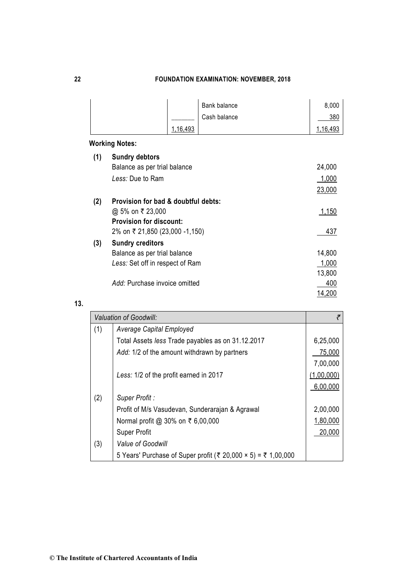|     |                                     |          | Bank balance | 8,000        |
|-----|-------------------------------------|----------|--------------|--------------|
|     |                                     |          | Cash balance | 380          |
|     |                                     | 1,16,493 |              | 1,16,493     |
|     | <b>Working Notes:</b>               |          |              |              |
| (1) | <b>Sundry debtors</b>               |          |              |              |
|     | Balance as per trial balance        |          |              | 24,000       |
|     | Less: Due to Ram                    |          |              | 1,000        |
|     |                                     |          |              | 23,000       |
| (2) | Provision for bad & doubtful debts: |          |              |              |
|     | @ 5% on ₹ 23,000                    |          |              | <u>1,150</u> |
|     | <b>Provision for discount:</b>      |          |              |              |
|     | 2% on ₹ 21,850 (23,000 -1,150)      |          |              | 437          |
| (3) | <b>Sundry creditors</b>             |          |              |              |
|     | Balance as per trial balance        |          |              | 14,800       |
|     | Less: Set off in respect of Ram     |          |              | 1,000        |
|     |                                     |          |              | 13,800       |
|     | Add: Purchase invoice omitted       |          |              | 400          |
|     |                                     |          |              | 14,200       |

## **13.**

|     | <b>Valuation of Goodwill:</b>                                 |            |
|-----|---------------------------------------------------------------|------------|
| (1) | Average Capital Employed                                      |            |
|     | Total Assets less Trade payables as on 31.12.2017             | 6,25,000   |
|     | Add: 1/2 of the amount withdrawn by partners                  | 75,000     |
|     |                                                               | 7,00,000   |
|     | Less: 1/2 of the profit earned in 2017                        | (1,00,000) |
|     |                                                               | 6,00,000   |
| (2) | Super Profit:                                                 |            |
|     | Profit of M/s Vasudevan, Sunderarajan & Agrawal               | 2,00,000   |
|     | Normal profit @ 30% on ₹ 6,00,000                             | 1,80,000   |
|     | <b>Super Profit</b>                                           | 20,000     |
| (3) | Value of Goodwill                                             |            |
|     | 5 Years' Purchase of Super profit (₹ 20,000 × 5) = ₹ 1,00,000 |            |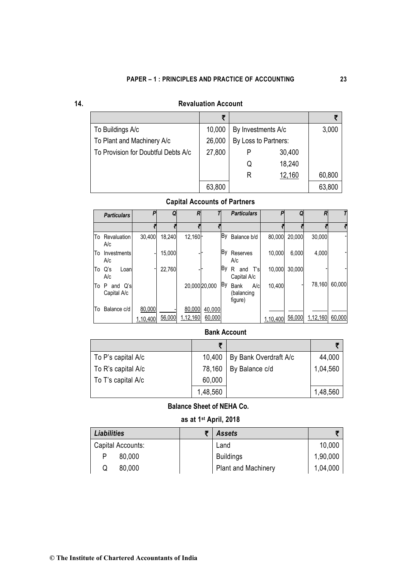| I |
|---|
|---|

# **14. Revaluation Account**

|                                     | ÷      |                      |                    |        |
|-------------------------------------|--------|----------------------|--------------------|--------|
| To Buildings A/c                    | 10,000 |                      | By Investments A/c |        |
| To Plant and Machinery A/c          | 26,000 | By Loss to Partners: |                    |        |
| To Provision for Doubtful Debts A/c | 27,800 |                      | 30,400             |        |
|                                     |        | Q                    | 18,240             |        |
|                                     |        | R                    | 12,160             | 60,800 |
|                                     | 63,800 |                      |                    | 63,800 |

## **Capital Accounts of Partners**

|    | <b>Particulars</b>             | P        | Q      | R          |               |    | <b>Particulars</b>                          | P        |        | R        |        |
|----|--------------------------------|----------|--------|------------|---------------|----|---------------------------------------------|----------|--------|----------|--------|
|    |                                |          |        |            |               |    |                                             |          |        |          |        |
| To | Revaluation<br>A/c             | 30.400   | 18,240 | $12.160 -$ |               | By | Balance b/d                                 | 80,000   | 20.000 | 30,000   |        |
| To | Investments<br>A/c             |          | 15,000 |            |               | Βy | Reserves<br>A/c                             | 10,000   | 6,000  | 4,000    |        |
|    | To Q's<br>Loan<br>A/c          |          | 22,760 |            |               | Βy | and T's<br>R<br>Capital A/c                 | 10,000   | 30.000 |          |        |
| To | P<br>Q's<br>and<br>Capital A/c |          |        |            | 20,000 20,000 | Вy | A/c<br><b>Bank</b><br>(balancing<br>figure) | 10,400   |        | 78,160   | 60.000 |
| To | Balance c/d                    | 80,000   |        | 80,000     | 40,000        |    |                                             |          |        |          |        |
|    |                                | 1,10,400 | 56,000 | 1,12,160   | 60,000        |    |                                             | 1,10,400 | 56,000 | 1,12,160 | 60,000 |

## **Bank Account**

|                    | ₹        |                       |          |
|--------------------|----------|-----------------------|----------|
| To P's capital A/c | 10,400   | By Bank Overdraft A/c | 44,000   |
| To R's capital A/c | 78,160   | By Balance c/d        | 1,04,560 |
| To T's capital A/c | 60,000   |                       |          |
|                    | 1,48,560 |                       | 1,48,560 |

## **Balance Sheet of NEHA Co.**

# **as at 1st April, 2018**

| <b>Liabilities</b> | <b>Assets</b>              |          |
|--------------------|----------------------------|----------|
| Capital Accounts:  | Land                       | 10,000   |
| 80,000             | <b>Buildings</b>           | 1,90,000 |
| 80,000<br>Q        | <b>Plant and Machinery</b> | 1,04,000 |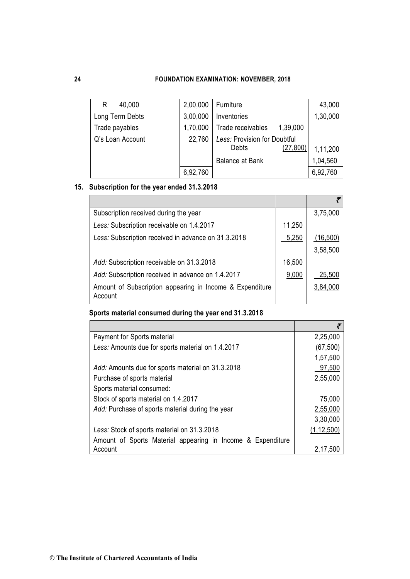| 40,000<br>R      | 2,00,000 | Furniture                                          | 43,000   |
|------------------|----------|----------------------------------------------------|----------|
| Long Term Debts  | 3,00,000 | Inventories                                        | 1,30,000 |
| Trade payables   | 1,70,000 | Trade receivables<br>1,39,000                      |          |
| Q's Loan Account | 22,760   | Less: Provision for Doubtful<br>(27, 800)<br>Debts | 1,11,200 |
|                  |          | <b>Balance at Bank</b>                             | 1,04,560 |
|                  | 6,92,760 |                                                    | 6,92,760 |

# **15. Subscription for the year ended 31.3.2018**

| Subscription received during the year                               |        | 3,75,000 |
|---------------------------------------------------------------------|--------|----------|
| Less: Subscription receivable on 1.4.2017                           | 11,250 |          |
| Less: Subscription received in advance on 31.3.2018                 | 5,250  | (16,500) |
|                                                                     |        | 3,58,500 |
| Add: Subscription receivable on 31.3.2018                           | 16,500 |          |
| Add: Subscription received in advance on 1.4.2017                   | 9,000  | 25,500   |
| Amount of Subscription appearing in Income & Expenditure<br>Account |        | 3,84,000 |

# **Sports material consumed during the year end 31.3.2018**

| Payment for Sports material                                 | 2,25,000     |
|-------------------------------------------------------------|--------------|
| Less: Amounts due for sports material on 1.4.2017           | (67, 500)    |
|                                                             | 1,57,500     |
| Add: Amounts due for sports material on 31.3.2018           | 97,500       |
| Purchase of sports material                                 | 2,55,000     |
| Sports material consumed:                                   |              |
| Stock of sports material on 1.4.2017                        | 75,000       |
| Add: Purchase of sports material during the year            | 2,55,000     |
|                                                             | 3,30,000     |
| Less: Stock of sports material on 31.3.2018                 | (1, 12, 500) |
| Amount of Sports Material appearing in Income & Expenditure |              |
| Account                                                     | 2.17.500     |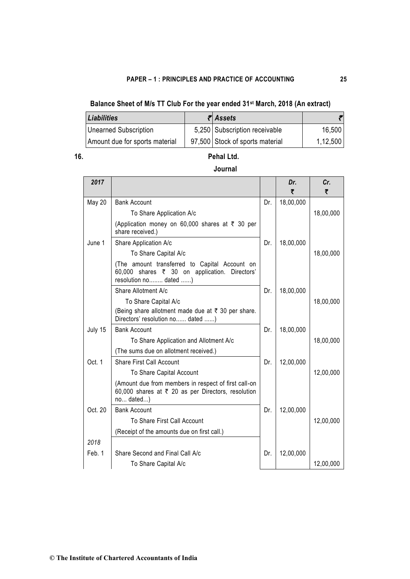# **Balance Sheet of M/s TT Club For the year ended 31st March, 2018 (An extract)**

| <b>Liabilities</b>             | $\bar{\mathcal{E}}$ Assets      |          |
|--------------------------------|---------------------------------|----------|
| Unearned Subscription          | 5,250 Subscription receivable   | 16,500   |
| Amount due for sports material | 97,500 Stock of sports material | 1,12,500 |

# **16. Pehal Ltd.**

## **Journal**

| 2017          |                                                                                                                         |     | Dr.<br>₹  | Cr.<br>₹  |
|---------------|-------------------------------------------------------------------------------------------------------------------------|-----|-----------|-----------|
| <b>May 20</b> | <b>Bank Account</b>                                                                                                     | Dr. | 18,00,000 |           |
|               | To Share Application A/c                                                                                                |     |           | 18,00,000 |
|               | (Application money on 60,000 shares at ₹ 30 per<br>share received.)                                                     |     |           |           |
| June 1        | Share Application A/c                                                                                                   | Dr. | 18,00,000 |           |
|               | To Share Capital A/c                                                                                                    |     |           | 18,00,000 |
|               | (The amount transferred to Capital Account on<br>60,000 shares ₹ 30 on application. Directors'<br>resolution no dated ) |     |           |           |
|               | Share Allotment A/c                                                                                                     | Dr. | 18,00,000 |           |
|               | To Share Capital A/c                                                                                                    |     |           | 18,00,000 |
|               | (Being share allotment made due at ₹ 30 per share.<br>Directors' resolution no dated )                                  |     |           |           |
| July 15       | <b>Bank Account</b>                                                                                                     | Dr. | 18,00,000 |           |
|               | To Share Application and Allotment A/c                                                                                  |     |           | 18,00,000 |
|               | (The sums due on allotment received.)                                                                                   |     |           |           |
| Oct. 1        | <b>Share First Call Account</b>                                                                                         | Dr. | 12,00,000 |           |
|               | To Share Capital Account                                                                                                |     |           | 12,00,000 |
|               | (Amount due from members in respect of first call-on<br>60,000 shares at ₹ 20 as per Directors, resolution<br>no dated) |     |           |           |
| Oct. 20       | <b>Bank Account</b>                                                                                                     | Dr. | 12,00,000 |           |
|               | To Share First Call Account                                                                                             |     |           | 12,00,000 |
|               | (Receipt of the amounts due on first call.)                                                                             |     |           |           |
| 2018          |                                                                                                                         |     |           |           |
| Feb. 1        | Share Second and Final Call A/c                                                                                         | Dr. | 12,00,000 |           |
|               | To Share Capital A/c                                                                                                    |     |           | 12,00,000 |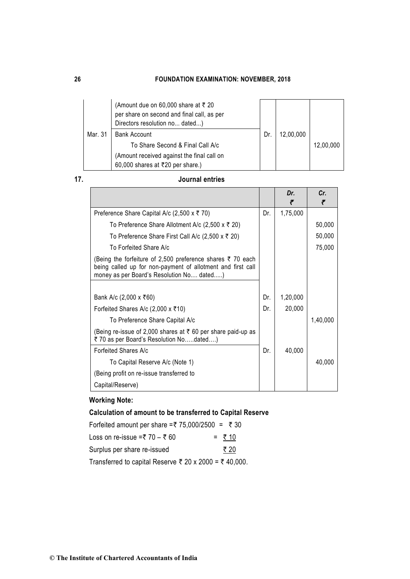|         | (Amount due on 60,000 share at ₹ 20<br>per share on second and final call, as per<br>Directors resolution no dated) |    |           |           |
|---------|---------------------------------------------------------------------------------------------------------------------|----|-----------|-----------|
| Mar. 31 | <b>Bank Account</b>                                                                                                 | Dr | 12,00,000 |           |
|         | To Share Second & Final Call A/c                                                                                    |    |           | 12.00.000 |
|         | (Amount received against the final call on<br>60,000 shares at ₹20 per share.)                                      |    |           |           |

## **17. Journal entries**

|                                                                                                                                                                        |     | Dr.<br>₹ | Cr.<br>₹ |
|------------------------------------------------------------------------------------------------------------------------------------------------------------------------|-----|----------|----------|
| Preference Share Capital A/c (2,500 x ₹ 70)                                                                                                                            | Dr. | 1,75,000 |          |
| To Preference Share Allotment A/c (2,500 x ₹ 20)                                                                                                                       |     |          | 50,000   |
| To Preference Share First Call A/c (2,500 x ₹ 20)                                                                                                                      |     |          | 50,000   |
| To Forfeited Share A/c                                                                                                                                                 |     |          | 75,000   |
| (Being the forfeiture of 2,500 preference shares ₹ 70 each<br>being called up for non-payment of allotment and first call<br>money as per Board's Resolution No dated) |     |          |          |
|                                                                                                                                                                        |     |          |          |
| Bank A/c (2,000 x ₹60)                                                                                                                                                 | Dr. | 1,20,000 |          |
| Forfeited Shares A/c (2,000 x ₹10)                                                                                                                                     | Dr. | 20,000   |          |
| To Preference Share Capital A/c                                                                                                                                        |     |          | 1,40,000 |
| (Being re-issue of 2,000 shares at ₹60 per share paid-up as<br>₹70 as per Board's Resolution Nodated)                                                                  |     |          |          |
| Forfeited Shares A/c                                                                                                                                                   | Dr. | 40,000   |          |
| To Capital Reserve A/c (Note 1)                                                                                                                                        |     |          | 40,000   |
| (Being profit on re-issue transferred to                                                                                                                               |     |          |          |
| Capital/Reserve)                                                                                                                                                       |     |          |          |

# **Working Note:**

# **Calculation of amount to be transferred to Capital Reserve**

| Forfeited amount per share =₹ 75,000/2500 = ₹ 30       |         |
|--------------------------------------------------------|---------|
| Loss on re-issue =₹ $70 - ₹ 60$                        | $= 710$ |
| Surplus per share re-issued                            | ₹ 20    |
| Transferred to capital Reserve ₹ 20 x 2000 = ₹ 40,000. |         |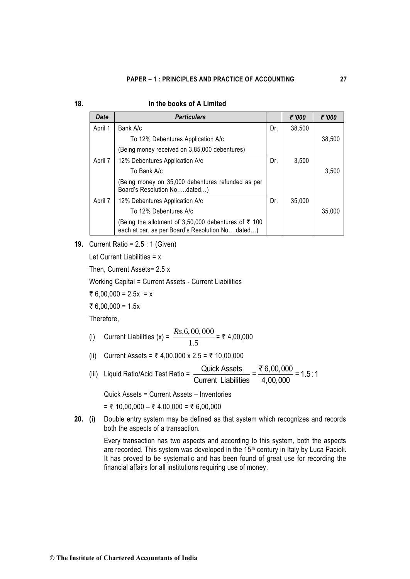| I | ٠ |  |
|---|---|--|
|   | ٧ |  |

### **18. In the books of A Limited**

| Date    | <b>Particulars</b>                                                                                      |     | ₹'000  | ₹'000  |
|---------|---------------------------------------------------------------------------------------------------------|-----|--------|--------|
| April 1 | Bank A/c                                                                                                | Dr. | 38,500 |        |
|         | To 12% Debentures Application A/c                                                                       |     |        | 38,500 |
|         | (Being money received on 3,85,000 debentures)                                                           |     |        |        |
| April 7 | 12% Debentures Application A/c                                                                          | Dr. | 3,500  |        |
|         | To Bank A/c                                                                                             |     |        | 3,500  |
|         | (Being money on 35,000 debentures refunded as per<br>Board's Resolution Nodated)                        |     |        |        |
| April 7 | 12% Debentures Application A/c                                                                          | Dr. | 35,000 |        |
|         | To 12% Debentures A/c                                                                                   |     |        | 35,000 |
|         | (Being the allotment of 3,50,000 debentures of ₹ 100<br>each at par, as per Board's Resolution Nodated) |     |        |        |

**19.** Current Ratio = 2.5 : 1 (Given)

Let Current Liabilities = x

Then, Current Assets= 2.5 x

Working Capital = Current Assets - Current Liabilities

₹ 6,00,000 = 2.5x = x

 $\overline{\xi}$  6,00,000 = 1.5x

Therefore,

(i) Current Liabilities (x) = 
$$
\frac{Rs.6,00,000}{1.5}
$$
 = ₹ 4,00,000

- (ii) Current Assets =  $\overline{z}$  4,00,000 x 2.5 =  $\overline{z}$  10,00,000
- (iii) Liquid Ratio/Acid Test Ratio =  $\frac{Quick\,\,Assets}{\sqrt{2\pi}} = \frac{8,00,000}{1,000,000} = 1.5:1$ Current Liabilities 4,00,000 ₹

Quick Assets = Current Assets – Inventories

 $= ₹ 10,00,000 - ₹ 4,00,000 = ₹ 6,00,000$ 

**20. (i)** Double entry system may be defined as that system which recognizes and records both the aspects of a transaction.

> Every transaction has two aspects and according to this system, both the aspects are recorded. This system was developed in the 15th century in Italy by Luca Pacioli. It has proved to be systematic and has been found of great use for recording the financial affairs for all institutions requiring use of money.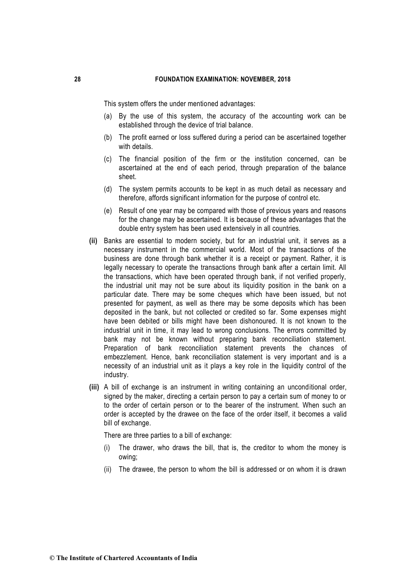This system offers the under mentioned advantages:

- (a) By the use of this system, the accuracy of the accounting work can be established through the device of trial balance.
- (b) The profit earned or loss suffered during a period can be ascertained together with details.
- (c) The financial position of the firm or the institution concerned, can be ascertained at the end of each period, through preparation of the balance sheet.
- (d) The system permits accounts to be kept in as much detail as necessary and therefore, affords significant information for the purpose of control etc.
- (e) Result of one year may be compared with those of previous years and reasons for the change may be ascertained. It is because of these advantages that the double entry system has been used extensively in all countries.
- **(ii)** Banks are essential to modern society, but for an industrial unit, it serves as a necessary instrument in the commercial world. Most of the transactions of the business are done through bank whether it is a receipt or payment. Rather, it is legally necessary to operate the transactions through bank after a certain limit. All the transactions, which have been operated through bank, if not verified properly, the industrial unit may not be sure about its liquidity position in the bank on a particular date. There may be some cheques which have been issued, but not presented for payment, as well as there may be some deposits which has been deposited in the bank, but not collected or credited so far. Some expenses might have been debited or bills might have been dishonoured. It is not known to the industrial unit in time, it may lead to wrong conclusions. The errors committed by bank may not be known without preparing bank reconciliation statement. Preparation of bank reconciliation statement prevents the chances of embezzlement. Hence, bank reconciliation statement is very important and is a necessity of an industrial unit as it plays a key role in the liquidity control of the industry.
- **(iii)** A bill of exchange is an instrument in writing containing an unconditional order, signed by the maker, directing a certain person to pay a certain sum of money to or to the order of certain person or to the bearer of the instrument. When such an order is accepted by the drawee on the face of the order itself, it becomes a valid bill of exchange.

There are three parties to a bill of exchange:

- (i) The drawer, who draws the bill, that is, the creditor to whom the money is owing;
- (ii) The drawee, the person to whom the bill is addressed or on whom it is drawn